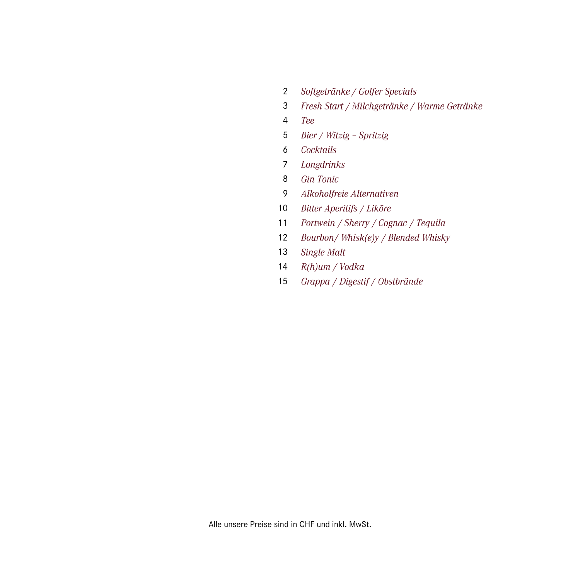- 2 Softgetränke / Golfer Specials
- 3 Fresh Start / Milchgetränke / Warme Getränke
- 4 Tee
- Bier / Witzig Spritzig 5
- Cocktails 6
- Longdrinks 7
- 8 Gin Tonic
- 9 Alkoholfreie Alternativen
- 10 Bitter Aperitifs / Liköre
- 11 Portwein / Sherry / Cognac / Tequila
- 12 Bourbon/Whisk(e)y / Blended Whisky
- 13 Single Malt
- 14  $R(h)$ um / Vodka
- 15 Grappa / Digestif / Obstbrände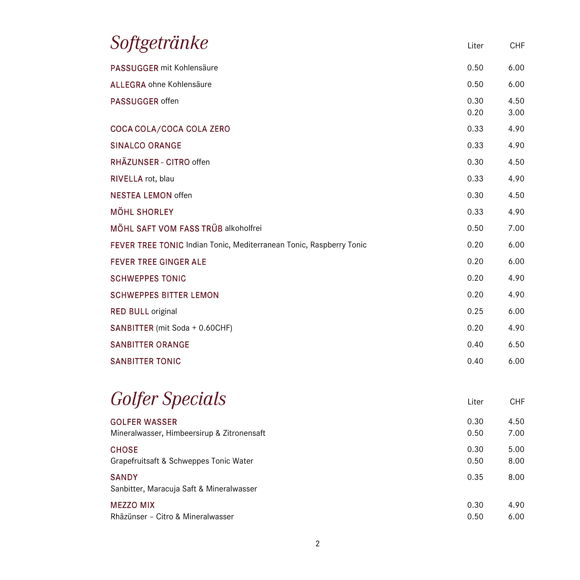| PASSUGGER mit Kohlensäure<br>ALLEGRA ohne Kohlensäure               | 0.50<br>0.50<br>0.30<br>0.20 | 6.00<br>6.00<br>4.50<br>3.00 |
|---------------------------------------------------------------------|------------------------------|------------------------------|
|                                                                     |                              |                              |
|                                                                     |                              |                              |
| PASSUGGER offen                                                     |                              |                              |
| COCA COLA/COCA COLA ZERO                                            | 0.33                         | 4.90                         |
| <b>SINALCO ORANGE</b>                                               | 0.33                         | 4.90                         |
| RHÄZUNSER - CITRO offen                                             | 0.30                         | 4.50                         |
| RIVELLA rot, blau                                                   | 0.33                         | 4.90                         |
| <b>NESTEA LEMON offen</b>                                           | 0.30                         | 4.50                         |
| <b>MÖHL SHORLEY</b>                                                 | 0.33                         | 4.90                         |
| MÖHL SAFT VOM FASS TRÜB alkoholfrei                                 | 0.50                         | 7.00                         |
| FEVER TREE TONIC Indian Tonic, Mediterranean Tonic, Raspberry Tonic | 0.20                         | 6.00                         |
| <b>FEVER TREE GINGER ALE</b>                                        | 0.20                         | 6.00                         |
| <b>SCHWEPPES TONIC</b>                                              | 0.20                         | 4.90                         |
| <b>SCHWEPPES BITTER LEMON</b>                                       | 0.20                         | 4.90                         |
| <b>RED BULL original</b>                                            | 0.25                         | 6.00                         |
| SANBITTER (mit Soda + 0.60CHF)                                      | 0.20                         | 4.90                         |
| <b>SANBITTER ORANGE</b>                                             | 0.40                         | 6.50                         |
| <b>SANBITTER TONIC</b>                                              | 0.40                         | 6.00                         |

| <i>Golfer Specials</i>                                   | Liter | CHF  |
|----------------------------------------------------------|-------|------|
| <b>GOLFER WASSER</b>                                     | 0.30  | 4.50 |
| Mineralwasser, Himbeersirup & Zitronensaft               | 0.50  | 7.00 |
| <b>CHOSE</b>                                             | 0.30  | 5.00 |
| Grapefruitsaft & Schweppes Tonic Water                   | 0.50  | 8.00 |
| <b>SANDY</b><br>Sanbitter, Maracuja Saft & Mineralwasser | 0.35  | 8.00 |
| MEZZO MIX                                                | 0.30  | 4.90 |
| Rhäzünser - Citro & Mineralwasser                        | 0.50  | 6.00 |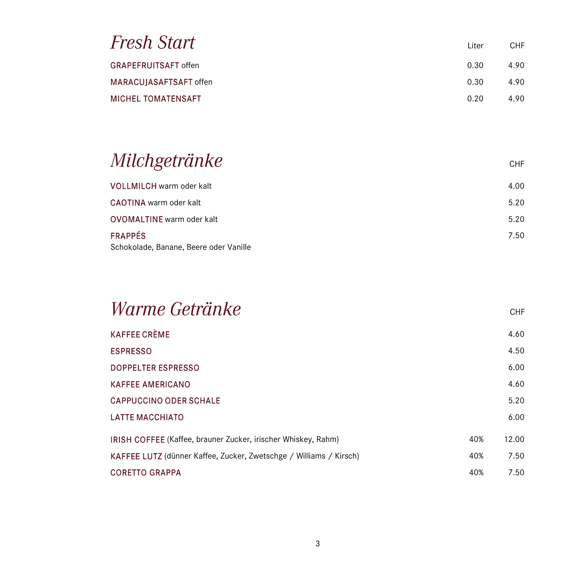| Fresh Start                 | Liter | CHF. |
|-----------------------------|-------|------|
| <b>GRAPEFRUITSAFT offen</b> | 0.30  | 4.90 |
| MARACUJASAFTSAFT offen      | 0.30  | 4.90 |
| <b>MICHEL TOMATENSAFT</b>   | 0.20  | 4.90 |

## Milchgetränke

| <b>VOLLMILCH</b> warm oder kalt        | 4.00 |
|----------------------------------------|------|
| CAOTINA warm oder kalt                 | 5.20 |
| OVOMALTINE warm oder kalt              | 5.20 |
| <b>FRAPPÉS</b>                         | 7.50 |
| Schokolade, Banane, Beere oder Vanille |      |

| <i>Warme Getränke</i>                                              |     | <b>CHF</b> |
|--------------------------------------------------------------------|-----|------------|
| KAFFEE CRÈME                                                       |     | 4.60       |
| <b>ESPRESSO</b>                                                    |     | 4.50       |
| <b>DOPPELTER ESPRESSO</b>                                          |     | 6.00       |
| <b>KAFFEE AMERICANO</b>                                            |     | 4.60       |
| <b>CAPPUCCINO ODER SCHALE</b>                                      |     | 5.20       |
| <b>LATTE MACCHIATO</b>                                             |     | 6.00       |
| IRISH COFFEE (Kaffee, brauner Zucker, irischer Whiskey, Rahm)      | 40% | 12.00      |
| KAFFEE LUTZ (dünner Kaffee, Zucker, Zwetschge / Williams / Kirsch) | 40% | 7.50       |
| CORETTO GRAPPA                                                     | 40% | 7.50       |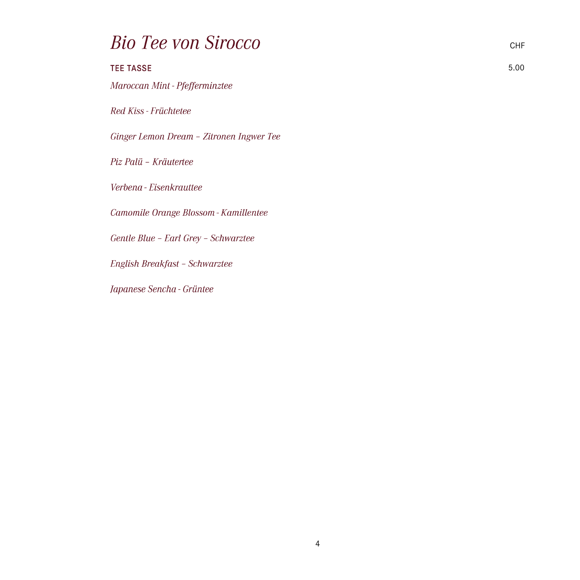### **Bio Tee von Sirocco**

| <b>TEE TASSE</b>                         | 5.00 |
|------------------------------------------|------|
| Maroccan Mint - Pfefferminztee           |      |
| Red Kiss - Früchtetee                    |      |
| Ginger Lemon Dream - Zitronen Ingwer Tee |      |
| Piz Palü - Kräutertee                    |      |
|                                          |      |
| Verbena - Eisenkrauttee                  |      |
| Camomile Orange Blossom - Kamillentee    |      |
| Gentle Blue - Earl Grey - Schwarztee     |      |
| English Breakfast - Schwarztee           |      |
| Japanese Sencha - Grüntee                |      |
|                                          |      |
|                                          |      |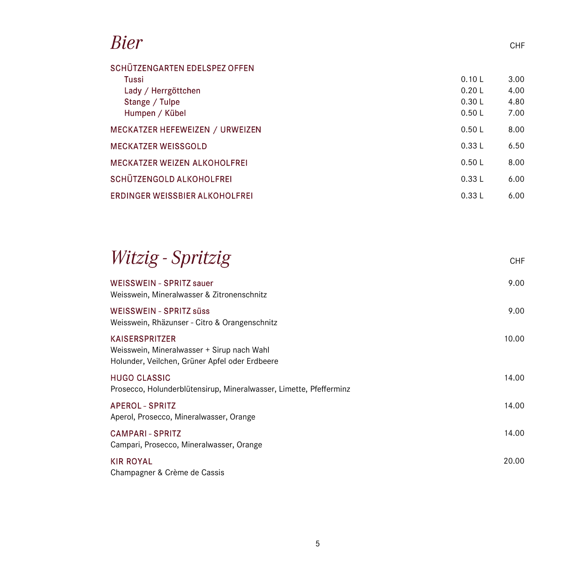#### Bier

| SCHÜTZENGARTEN EDELSPEZ OFFEN       |        |      |
|-------------------------------------|--------|------|
| Tussi                               | 0.10 L | 3.00 |
| Lady / Herrgöttchen                 | 0.20L  | 4.00 |
| Stange / Tulpe                      | 0.30L  | 4.80 |
| Humpen / Kübel                      | 0.50L  | 7.00 |
| MECKATZER HEFEWEIZEN / URWEIZEN     | 0.50L  | 8.00 |
| <b>MECKATZER WEISSGOLD</b>          | 0.33L  | 6.50 |
| <b>MECKATZER WEIZEN ALKOHOLFREI</b> | 0.50L  | 8.00 |
| SCHÜTZENGOLD ALKOHOLFREI            | 0.33L  | 6.00 |
| ERDINGER WEISSBIER ALKOHOLFREI      | 0.33L  | 6.00 |

CHF

CHF

# Witzig - Spritzig

| WEISSWEIN - SPRITZ sauer<br>Weisswein, Mineralwasser & Zitronenschnitz                                                | 9.00  |
|-----------------------------------------------------------------------------------------------------------------------|-------|
| WEISSWEIN - SPRITZ süss<br>Weisswein, Rhäzunser - Citro & Orangenschnitz                                              | 9.00  |
| <b>KAISERSPRITZER</b><br>Weisswein, Mineralwasser + Sirup nach Wahl<br>Holunder, Veilchen, Grüner Apfel oder Erdbeere | 10.00 |
| <b>HUGO CLASSIC</b><br>Prosecco, Holunderblütensirup, Mineralwasser, Limette, Pfefferminz                             | 14.00 |
| <b>APEROL - SPRITZ</b><br>Aperol, Prosecco, Mineralwasser, Orange                                                     | 14.00 |
| <b>CAMPARI - SPRITZ</b><br>Campari, Prosecco, Mineralwasser, Orange                                                   | 14.00 |
| <b>KIR ROYAL</b><br>Champagner & Crème de Cassis                                                                      | 20.00 |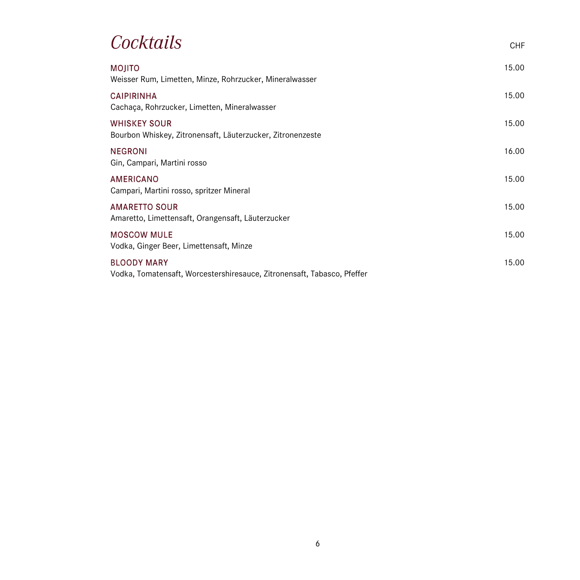### Cocktails

| <b>MOJITO</b><br>Weisser Rum, Limetten, Minze, Rohrzucker, Mineralwasser                      | 15.00 |
|-----------------------------------------------------------------------------------------------|-------|
| <b>CAIPIRINHA</b><br>Cachaça, Rohrzucker, Limetten, Mineralwasser                             | 15.00 |
| <b>WHISKEY SOUR</b><br>Bourbon Whiskey, Zitronensaft, Läuterzucker, Zitronenzeste             | 15.00 |
| <b>NEGRONI</b><br>Gin, Campari, Martini rosso                                                 | 16.00 |
| AMERICANO<br>Campari, Martini rosso, spritzer Mineral                                         | 15.00 |
| <b>AMARETTO SOUR</b><br>Amaretto, Limettensaft, Orangensaft, Läuterzucker                     | 15.00 |
| <b>MOSCOW MULE</b><br>Vodka, Ginger Beer, Limettensaft, Minze                                 | 15.00 |
| <b>BLOODY MARY</b><br>Vodka, Tomatensaft, Worcestershiresauce, Zitronensaft, Tabasco, Pfeffer | 15.00 |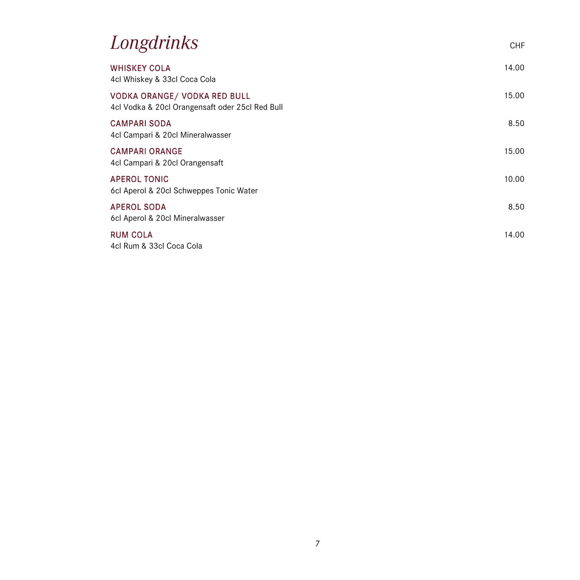#### Longdrinks

| <b>WHISKEY COLA</b><br>4cl Whiskey & 33cl Coca Cola                             | 14.00 |
|---------------------------------------------------------------------------------|-------|
| VODKA ORANGE/ VODKA RED BULL<br>4cl Vodka & 20cl Orangensaft oder 25cl Red Bull | 15.00 |
| <b>CAMPARI SODA</b><br>4cl Campari & 20cl Mineralwasser                         | 8.50  |
| <b>CAMPARI ORANGE</b><br>4cl Campari & 20cl Orangensaft                         | 15.00 |
| <b>APEROL TONIC</b><br>6cl Aperol & 20cl Schweppes Tonic Water                  | 10.00 |
| <b>APEROL SODA</b><br>6cl Aperol & 20cl Mineralwasser                           | 8.50  |
| <b>RUM COLA</b><br>4cl Rum & 33cl Coca Cola                                     | 14.00 |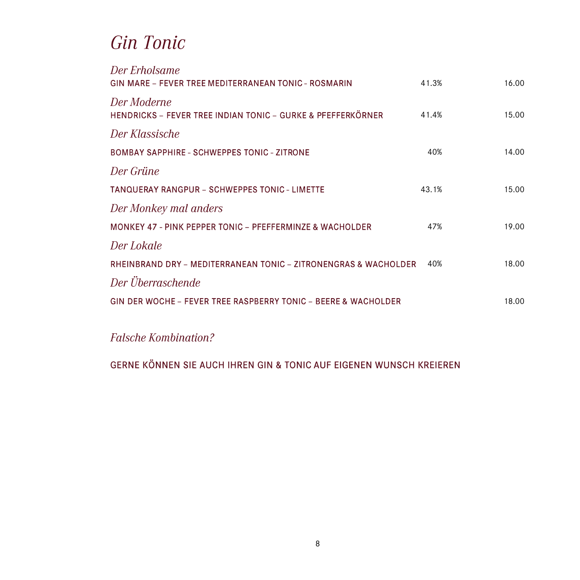#### **Gin Tonic**

| Der Erholsame<br><b>GIN MARE - FEVER TREE MEDITERRANEAN TONIC - ROSMARIN</b> | 41.3% | 16.00 |
|------------------------------------------------------------------------------|-------|-------|
| Der Moderne<br>HENDRICKS - FEVER TREE INDIAN TONIC - GURKE & PFEFFERKÖRNER   | 41.4% | 15.00 |
| Der Klassische                                                               |       |       |
| <b>BOMBAY SAPPHIRE - SCHWEPPES TONIC - ZITRONE</b>                           | 40%   | 14.00 |
| Der Grüne                                                                    |       |       |
| TANQUERAY RANGPUR - SCHWEPPES TONIC - LIMETTE                                | 43.1% | 15.00 |
| Der Monkey mal anders                                                        |       |       |
| <b>MONKEY 47 - PINK PEPPER TONIC - PFEFFERMINZE &amp; WACHOLDER</b>          | 47%   | 19.00 |
| Der Lokale                                                                   |       |       |
| RHEINBRAND DRY - MEDITERRANEAN TONIC - ZITRONENGRAS & WACHOLDER              | 40%   | 18.00 |
| Der Überraschende                                                            |       |       |
| <b>GIN DER WOCHE - FEVER TREE RASPBERRY TONIC - BEERE &amp; WACHOLDER</b>    |       | 18.00 |

**Falsche Kombination?** 

GERNE KÖNNEN SIE AUCH IHREN GIN & TONIC AUF EIGENEN WUNSCH KREIEREN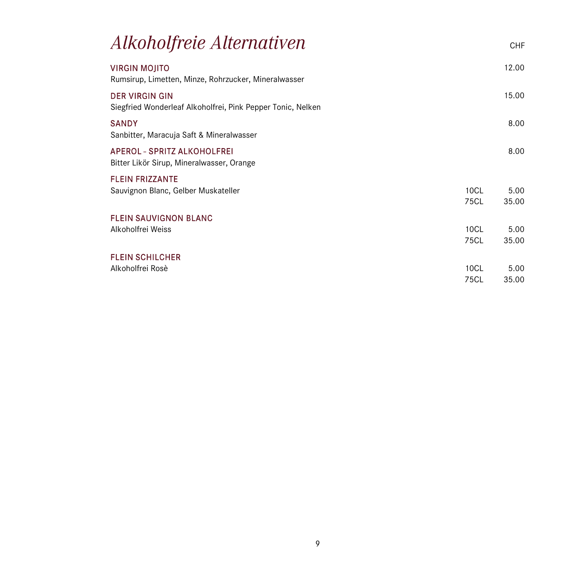| <i><b>Alkoholfreie Alternativen</b></i>                                              |              | <b>CHF</b>    |
|--------------------------------------------------------------------------------------|--------------|---------------|
| <b>VIRGIN MOJITO</b><br>Rumsirup, Limetten, Minze, Rohrzucker, Mineralwasser         |              | 12.00         |
| <b>DER VIRGIN GIN</b><br>Siegfried Wonderleaf Alkoholfrei, Pink Pepper Tonic, Nelken |              | 15.00         |
| <b>SANDY</b><br>Sanbitter, Maracuja Saft & Mineralwasser                             |              | 8.00          |
| APEROL - SPRITZ ALKOHOLFREI<br>Bitter Likör Sirup, Mineralwasser, Orange             |              | 8.00          |
| <b>FLEIN FRIZZANTE</b>                                                               |              |               |
| Sauvignon Blanc, Gelber Muskateller                                                  | 10CL<br>75CL | 5.00<br>35.00 |
| <b>FLEIN SAUVIGNON BLANC</b>                                                         |              |               |
| Alkoholfrei Weiss                                                                    | 10CL         | 5.00          |
|                                                                                      | 75CL         | 35.00         |
| <b>FLEIN SCHILCHER</b>                                                               |              |               |
| Alkoholfrei Rosè                                                                     | 10CL         | 5.00          |
|                                                                                      | 75CL         | 35.00         |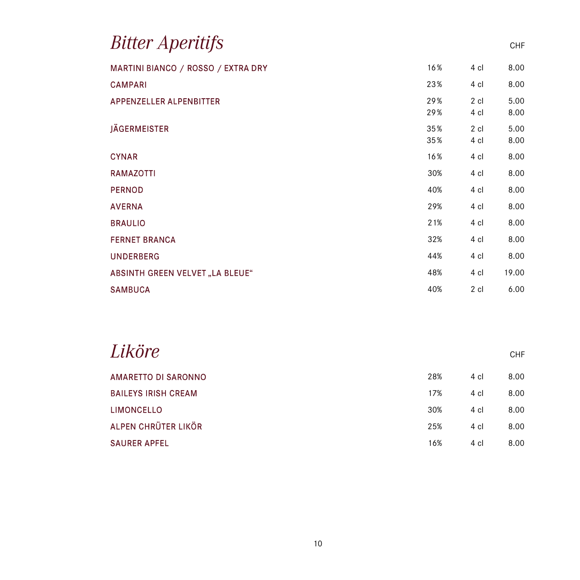|            |                        | <b>CHF</b>   |
|------------|------------------------|--------------|
| 16%        | 4 cl                   | 8.00         |
| 23%        | 4 cl                   | 8.00         |
| 29%<br>29% | $2 \text{ cl}$<br>4 cl | 5.00<br>8.00 |
| 35%<br>35% | 2 cl<br>4 cl           | 5.00<br>8.00 |
| 16%        | 4 cl                   | 8.00         |
| 30%        | 4 cl                   | 8.00         |
| 40%        | 4 cl                   | 8.00         |
| 29%        | 4 cl                   | 8.00         |
| 21%        | 4 cl                   | 8.00         |
| 32%        | 4 cl                   | 8.00         |
| 44%        | 4 cl                   | 8.00         |
| 48%        | 4 cl                   | 19.00        |
| 40%        | 2 cl                   | 6.00         |
|            |                        |              |

| Liköre                     |     |      | <b>CHF</b> |
|----------------------------|-----|------|------------|
| AMARETTO DI SARONNO        | 28% | 4 cl | 8.00       |
| <b>BAILEYS IRISH CREAM</b> | 17% | 4 cl | 8.00       |
| <b>LIMONCELLO</b>          | 30% | 4 cl | 8.00       |
| ALPEN CHRÜTER LIKÖR        | 25% | 4 cl | 8.00       |
| <b>SAURER APFEL</b>        | 16% | 4 cl | 8.00       |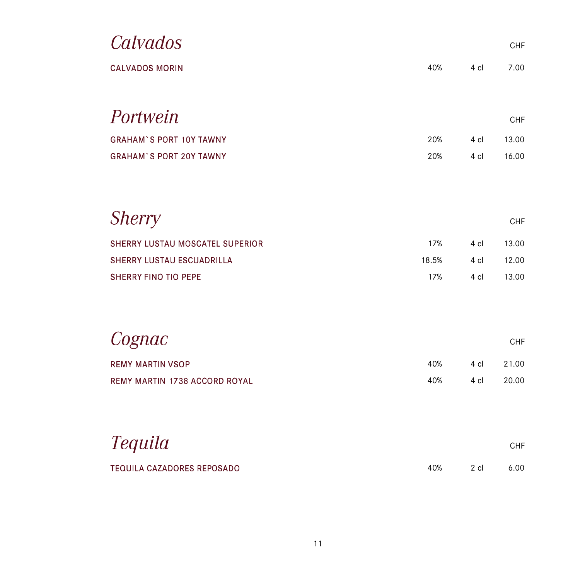| Calvados                          |       |      | CHF   |
|-----------------------------------|-------|------|-------|
| <b>CALVADOS MORIN</b>             | 40%   | 4 cl | 7.00  |
|                                   |       |      |       |
| Portwein                          |       |      | CHF   |
| <b>GRAHAM'S PORT 10Y TAWNY</b>    | 20%   | 4 cl | 13.00 |
| <b>GRAHAM'S PORT 20Y TAWNY</b>    | 20%   | 4 cl | 16.00 |
|                                   |       |      |       |
|                                   |       |      |       |
| <b>Sherry</b>                     |       |      | CHF   |
| SHERRY LUSTAU MOSCATEL SUPERIOR   | 17%   | 4 cl | 13.00 |
| <b>SHERRY LUSTAU ESCUADRILLA</b>  | 18.5% | 4 cl | 12.00 |
| <b>SHERRY FINO TIO PEPE</b>       | 17%   | 4 cl | 13.00 |
|                                   |       |      |       |
|                                   |       |      |       |
| Cognac                            |       |      | CHF   |
| <b>REMY MARTIN VSOP</b>           | 40%   | 4 cl | 21.00 |
| REMY MARTIN 1738 ACCORD ROYAL     | 40%   | 4 cl | 20.00 |
|                                   |       |      |       |
|                                   |       |      |       |
| <i>Tequila</i>                    |       |      | CHF   |
| <b>TEQUILA CAZADORES REPOSADO</b> | 40%   | 2 cl | 6.00  |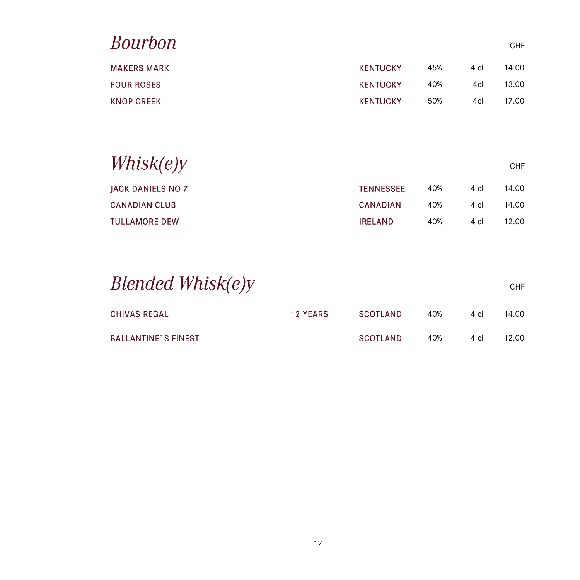| <b>Bourbon</b>           |                  |     |      | CHF   |
|--------------------------|------------------|-----|------|-------|
| <b>MAKERS MARK</b>       | <b>KENTUCKY</b>  | 45% | 4 cl | 14.00 |
| <b>FOUR ROSES</b>        | <b>KENTUCKY</b>  | 40% | 4cl  | 13.00 |
| <b>KNOP CREEK</b>        | <b>KENTUCKY</b>  | 50% | 4cl  | 17.00 |
| Whisk(e)y                |                  |     |      | CHF   |
| <b>JACK DANIELS NO 7</b> | <b>TENNESSEE</b> | 40% | 4 cl | 14.00 |
| <b>CANADIAN CLUB</b>     | <b>CANADIAN</b>  | 40% | 4 cl | 14.00 |
| <b>TULLAMORE DEW</b>     | <b>IRELAND</b>   | 40% | 4 cl | 12.00 |
|                          |                  |     |      |       |

| Blended Whisk(e)y          |                 |                 |     |      | <b>CHF</b> |
|----------------------------|-----------------|-----------------|-----|------|------------|
| <b>CHIVAS REGAL</b>        | <b>12 YEARS</b> | SCOTLAND        | 40% | 4 cl | 14.00      |
| <b>BALLANTINE'S FINEST</b> |                 | <b>SCOTLAND</b> | 40% | 4 cl | 12.00.     |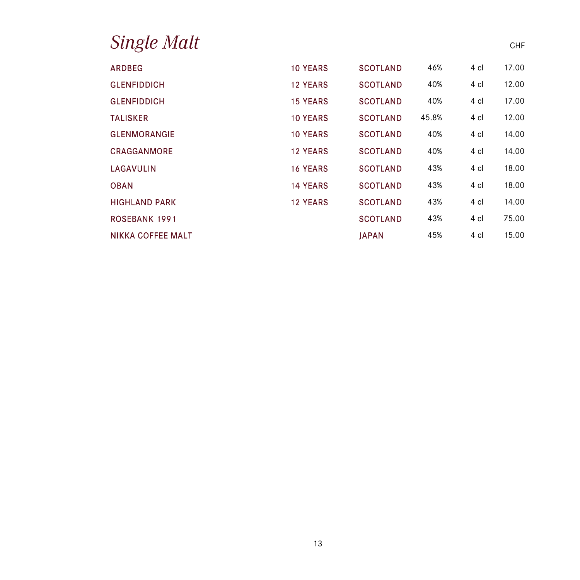| <i>Single Malt</i>   |                 |                 |       |      | <b>CHF</b> |
|----------------------|-----------------|-----------------|-------|------|------------|
| <b>ARDBEG</b>        | <b>10 YEARS</b> | <b>SCOTLAND</b> | 46%   | 4 cl | 17.00      |
| <b>GLENFIDDICH</b>   | <b>12 YEARS</b> | <b>SCOTLAND</b> | 40%   | 4 cl | 12.00      |
| <b>GLENFIDDICH</b>   | <b>15 YEARS</b> | <b>SCOTLAND</b> | 40%   | 4 cl | 17.00      |
| <b>TALISKER</b>      | <b>10 YEARS</b> | <b>SCOTLAND</b> | 45.8% | 4 cl | 12.00      |
| <b>GLENMORANGIE</b>  | <b>10 YEARS</b> | <b>SCOTLAND</b> | 40%   | 4 cl | 14.00      |
| CRAGGANMORE          | <b>12 YEARS</b> | <b>SCOTLAND</b> | 40%   | 4 cl | 14.00      |
| LAGAVULIN            | <b>16 YEARS</b> | <b>SCOTLAND</b> | 43%   | 4 cl | 18.00      |
| <b>OBAN</b>          | <b>14 YEARS</b> | <b>SCOTLAND</b> | 43%   | 4 cl | 18.00      |
| <b>HIGHLAND PARK</b> | <b>12 YEARS</b> | <b>SCOTLAND</b> | 43%   | 4 cl | 14.00      |
| <b>ROSEBANK 1991</b> |                 | <b>SCOTLAND</b> | 43%   | 4 cl | 75.00      |
| NIKKA COFFEE MALT    |                 | <b>JAPAN</b>    | 45%   | 4 cl | 15.00      |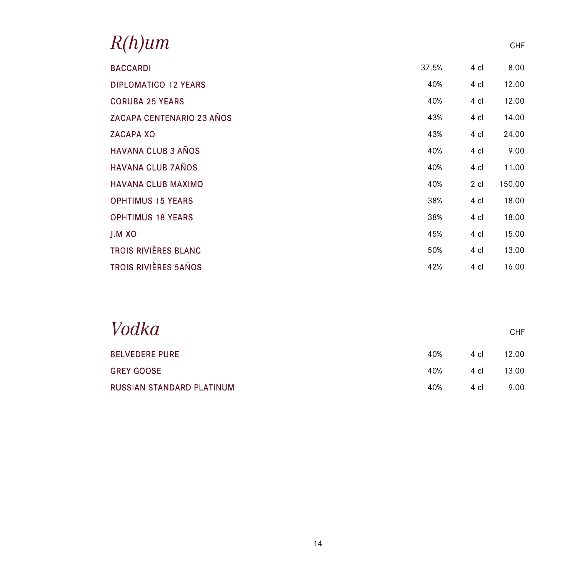| 'h)um                            |       |      | <b>CHF</b> |
|----------------------------------|-------|------|------------|
| <b>BACCARDI</b>                  | 37.5% | 4 cl | 8.00       |
| <b>DIPLOMATICO 12 YEARS</b>      | 40%   | 4 cl | 12.00      |
| <b>CORUBA 25 YEARS</b>           | 40%   | 4 cl | 12.00      |
| <b>ZACAPA CENTENARIO 23 AÑOS</b> | 43%   | 4 cl | 14.00      |
| <b>ZACAPA XO</b>                 | 43%   | 4 cl | 24.00      |
| <b>HAVANA CLUB 3 AÑOS</b>        | 40%   | 4 cl | 9.00       |
| <b>HAVANA CLUB 7AÑOS</b>         | 40%   | 4 cl | 11.00      |
| <b>HAVANA CLUB MAXIMO</b>        | 40%   | 2 cl | 150.00     |
| <b>OPHTIMUS 15 YEARS</b>         | 38%   | 4 cl | 18.00      |
| <b>OPHTIMUS 18 YEARS</b>         | 38%   | 4 cl | 18.00      |
| J.M XO                           | 45%   | 4 cl | 15.00      |
| TROIS RIVIÈRES BLANC             | 50%   | 4 cl | 13.00      |
| <b>TROIS RIVIÈRES 5AÑOS</b>      | 42%   | 4 cl | 16.00      |

| Vodka                     |     |      | <b>CHF</b> |
|---------------------------|-----|------|------------|
| <b>BELVEDERE PURE</b>     | 40% | 4 cl | 12.00      |
| <b>GREY GOOSE</b>         | 40% | 4 cl | 13.00      |
| RUSSIAN STANDARD PLATINUM | 40% | 4 cl | 9.00       |